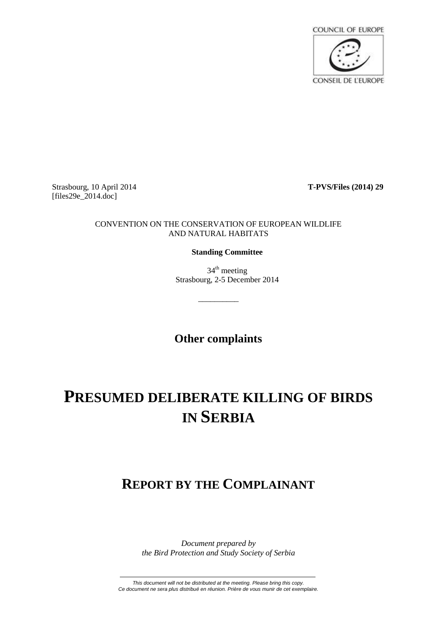

Strasbourg, 10 April 2014 **T-PVS/Files (2014) 29** [files29e\_2014.doc]

### CONVENTION ON THE CONSERVATION OF EUROPEAN WILDLIFE AND NATURAL HABITATS

# **Standing Committee**

 $34<sup>th</sup>$  meeting Strasbourg, 2-5 December 2014

**Other complaints**

\_\_\_\_\_\_\_\_\_\_

# **PRESUMED DELIBERATE KILLING OF BIRDS IN SERBIA**

# **REPORT BY THE COMPLAINANT**

*Document prepared by the Bird Protection and Study Society of Serbia*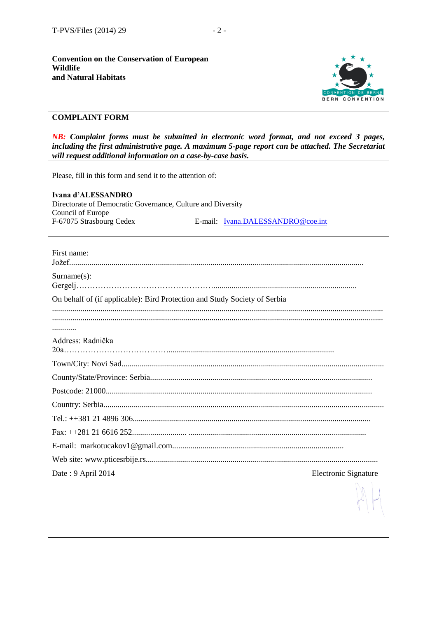**Convention on the Conservation of European Wildlife and Natural Habitats**



 $\Gamma(\Gamma)$ 

# **COMPLAINT FORM**

 $\overline{1}$ 

*NB: Complaint forms must be submitted in electronic word format, and not exceed 3 pages, including the first administrative page. A maximum 5-page report can be attached. The Secretariat will request additional information on a case-by-case basis.*

Please, fill in this form and send it to the attention of:

| Ivana d'ALESSANDRO                                          |  |                                   |  |  |  |
|-------------------------------------------------------------|--|-----------------------------------|--|--|--|
| Directorate of Democratic Governance, Culture and Diversity |  |                                   |  |  |  |
| Council of Europe                                           |  |                                   |  |  |  |
| F-67075 Strasbourg Cedex                                    |  | E-mail: Ivana.DALESSANDRO@coe.int |  |  |  |

| First name:                                                               |
|---------------------------------------------------------------------------|
| $Surname(s)$ :                                                            |
| On behalf of (if applicable): Bird Protection and Study Society of Serbia |
|                                                                           |
| .                                                                         |
| Address: Radnička                                                         |
|                                                                           |
|                                                                           |
|                                                                           |
|                                                                           |
|                                                                           |
|                                                                           |
|                                                                           |
|                                                                           |
| Date: 9 April 2014<br>Electronic Signature                                |
|                                                                           |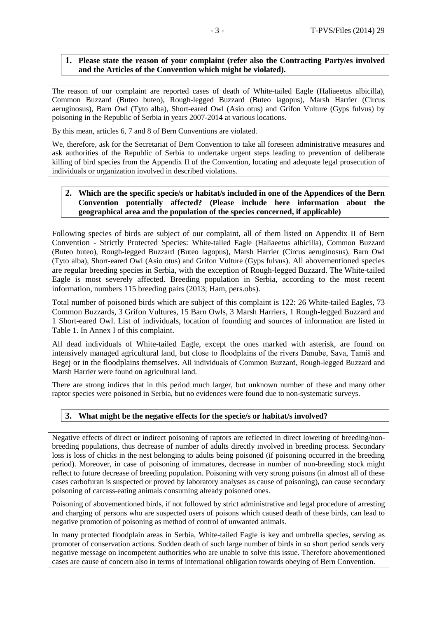#### **1. Please state the reason of your complaint (refer also the Contracting Party/es involved and the Articles of the Convention which might be violated).**

The reason of our complaint are reported cases of death of White-tailed Eagle (Haliaeetus albicilla), Common Buzzard (Buteo buteo), Rough-legged Buzzard (Buteo lagopus), Marsh Harrier (Circus aeruginosus), Barn Owl (Tyto alba), Short-eared Owl (Asio otus) and Grifon Vulture (Gyps fulvus) by poisoning in the Republic of Serbia in years 2007-2014 at various locations.

By this mean, articles 6, 7 and 8 of Bern Conventions are violated.

We, therefore, ask for the Secretariat of Bern Convention to take all foreseen administrative measures and ask authorities of the Republic of Serbia to undertake urgent steps leading to prevention of deliberate killing of bird species from the Appendix II of the Convention, locating and adequate legal prosecution of individuals or organization involved in described violations.

#### **2. Which are the specific specie/s or habitat/s included in one of the Appendices of the Bern Convention potentially affected? (Please include here information about the geographical area and the population of the species concerned, if applicable)**

Following species of birds are subject of our complaint, all of them listed on Appendix II of Bern Convention - Strictly Protected Species: White-tailed Eagle (Haliaeetus albicilla), Common Buzzard (Buteo buteo), Rough-legged Buzzard (Buteo lagopus), Marsh Harrier (Circus aeruginosus), Barn Owl (Tyto alba), Short-eared Owl (Asio otus) and Grifon Vulture (Gyps fulvus). All abovementioned species are regular breeding species in Serbia, with the exception of Rough-legged Buzzard. The White-tailed Eagle is most severely affected. Breeding population in Serbia, according to the most recent information, numbers 115 breeding pairs (2013; Ham, pers.obs).

Total number of poisoned birds which are subject of this complaint is 122: 26 White-tailed Eagles, 73 Common Buzzards, 3 Grifon Vultures, 15 Barn Owls, 3 Marsh Harriers, 1 Rough-legged Buzzard and 1 Short-eared Owl. List of individuals, location of founding and sources of information are listed in Table 1. In Annex I of this complaint.

All dead individuals of White-tailed Eagle, except the ones marked with asterisk, are found on intensively managed agricultural land, but close to floodplains of the rivers Danube, Sava, Tamiš and Begej or in the floodplains themselves. All individuals of Common Buzzard, Rough-legged Buzzard and Marsh Harrier were found on agricultural land.

There are strong indices that in this period much larger, but unknown number of these and many other raptor species were poisoned in Serbia, but no evidences were found due to non-systematic surveys.

#### **3. What might be the negative effects for the specie/s or habitat/s involved?**

Negative effects of direct or indirect poisoning of raptors are reflected in direct lowering of breeding/nonbreeding populations, thus decrease of number of adults directly involved in breeding process. Secondary loss is loss of chicks in the nest belonging to adults being poisoned (if poisoning occurred in the breeding period). Moreover, in case of poisoning of immatures, decrease in number of non-breeding stock might reflect to future decrease of breeding population. Poisoning with very strong poisons (in almost all of these cases carbofuran is suspected or proved by laboratory analyses as cause of poisoning), can cause secondary poisoning of carcass-eating animals consuming already poisoned ones.

Poisoning of abovementioned birds, if not followed by strict administrative and legal procedure of arresting and charging of persons who are suspected users of poisons which caused death of these birds, can lead to negative promotion of poisoning as method of control of unwanted animals.

In many protected floodplain areas in Serbia, White-tailed Eagle is key and umbrella species, serving as promoter of conservation actions. Sudden death of such large number of birds in so short period sends very negative message on incompetent authorities who are unable to solve this issue. Therefore abovementioned cases are cause of concern also in terms of international obligation towards obeying of Bern Convention.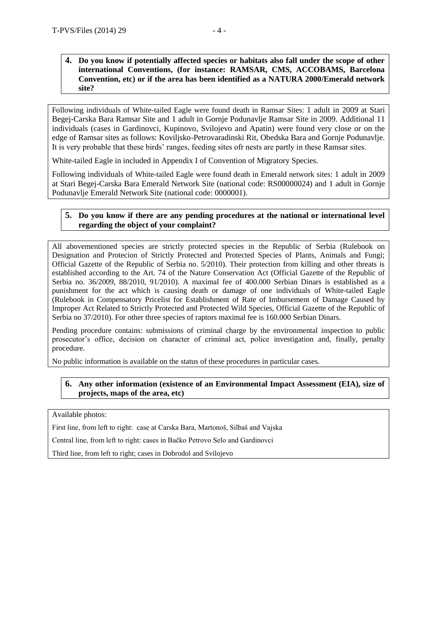#### **4. Do you know if potentially affected species or habitats also fall under the scope of other international Conventions, (for instance: RAMSAR, CMS, ACCOBAMS, Barcelona Convention, etc) or if the area has been identified as a NATURA 2000/Emerald network site?**

Following individuals of White-tailed Eagle were found death in Ramsar Sites: 1 adult in 2009 at Stari Begej-Carska Bara Ramsar Site and 1 adult in Gornje Podunavlje Ramsar Site in 2009. Additional 11 individuals (cases in Gardinovci, Kupinovo, Svilojevo and Apatin) were found very close or on the edge of Ramsar sites as follows: Koviljsko-Petrovaradinski Rit, Obedska Bara and Gornje Podunavlje. It is very probable that these birds' ranges, feeding sites ofr nests are partly in these Ramsar sites.

White-tailed Eagle in included in Appendix I of Convention of Migratory Species.

Following individuals of White-tailed Eagle were found death in Emerald network sites: 1 adult in 2009 at Stari Begej-Carska Bara Emerald Network Site (national code: RS00000024) and 1 adult in Gornje Podunavlje Emerald Network Site (national code: 0000001).

#### **5. Do you know if there are any pending procedures at the national or international level regarding the object of your complaint?**

All abovementioned species are strictly protected species in the Republic of Serbia (Rulebook on Designation and Protecion of Strictly Protected and Protected Species of Plants, Animals and Fungi; Official Gazette of the Republic of Serbia no. 5/2010). Their protection from killing and other threats is established according to the Art. 74 of the Nature Conservation Act (Official Gazette of the Republic of Serbia no. 36/2009, 88/2010, 91/2010). A maximal fee of 400.000 Serbian Dinars is established as a punishment for the act which is causing death or damage of one individuals of White-tailed Eagle (Rulebook in Compensatory Pricelist for Establishment of Rate of Imbursement of Damage Caused by Improper Act Related to Strictly Protected and Protected Wild Species, Official Gazette of the Republic of Serbia no 37/2010). For other three species of raptors maximal fee is 160.000 Serbian Dinars.

Pending procedure contains: submissions of criminal charge by the environmental inspection to public prosecutor's office, decision on character of criminal act, police investigation and, finally, penalty procedure.

No public information is available on the status of these procedures in particular cases.

# **6. Any other information (existence of an Environmental Impact Assessment (EIA), size of projects, maps of the area, etc)**

Available photos:

First line, from left to right: case at Carska Bara, Martonoš, Silbaš and Vajska

Central line, from left to right: cases in Bačko Petrovo Selo and Gardinovci

Third line, from left to right; cases in Dobrodol and Svilojevo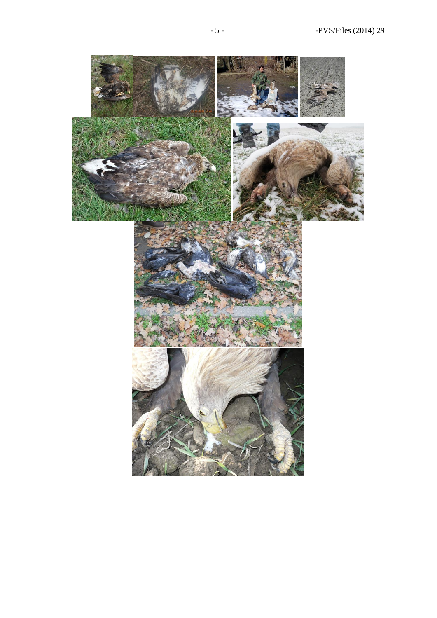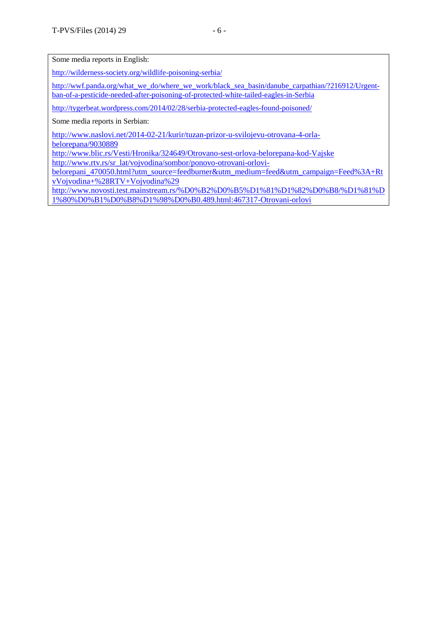Some media reports in English:

<http://wilderness-society.org/wildlife-poisoning-serbia/>

[http://wwf.panda.org/what\\_we\\_do/where\\_we\\_work/black\\_sea\\_basin/danube\\_carpathian/?216912/Urgent](http://wwf.panda.org/what_we_do/where_we_work/black_sea_basin/danube_carpathian/?216912/Urgent-ban-of-a-pesticide-needed-after-poisoning-of-protected-white-tailed-eagles-in-Serbia)[ban-of-a-pesticide-needed-after-poisoning-of-protected-white-tailed-eagles-in-Serbia](http://wwf.panda.org/what_we_do/where_we_work/black_sea_basin/danube_carpathian/?216912/Urgent-ban-of-a-pesticide-needed-after-poisoning-of-protected-white-tailed-eagles-in-Serbia)

<http://tygerbeat.wordpress.com/2014/02/28/serbia-protected-eagles-found-poisoned/>

Some media reports in Serbian:

[http://www.naslovi.net/2014-02-21/kurir/tuzan-prizor-u-svilojevu-otrovana-4-orla-](http://www.naslovi.net/2014-02-21/kurir/tuzan-prizor-u-svilojevu-otrovana-4-orla-belorepana/9030889)

[belorepana/9030889](http://www.naslovi.net/2014-02-21/kurir/tuzan-prizor-u-svilojevu-otrovana-4-orla-belorepana/9030889)

<http://www.blic.rs/Vesti/Hronika/324649/Otrovano-sest-orlova-belorepana-kod-Vajske>

[http://www.rtv.rs/sr\\_lat/vojvodina/sombor/ponovo-otrovani-orlovi-](http://www.rtv.rs/sr_lat/vojvodina/sombor/ponovo-otrovani-orlovi-belorepani_470050.html?utm_source=feedburner&utm_medium=feed&utm_campaign=Feed%3A+RtvVojvodina+%28RTV+Vojvodina%29)

[belorepani\\_470050.html?utm\\_source=feedburner&utm\\_medium=feed&utm\\_campaign=Feed%3A+Rt](http://www.rtv.rs/sr_lat/vojvodina/sombor/ponovo-otrovani-orlovi-belorepani_470050.html?utm_source=feedburner&utm_medium=feed&utm_campaign=Feed%3A+RtvVojvodina+%28RTV+Vojvodina%29) [vVojvodina+%28RTV+Vojvodina%29](http://www.rtv.rs/sr_lat/vojvodina/sombor/ponovo-otrovani-orlovi-belorepani_470050.html?utm_source=feedburner&utm_medium=feed&utm_campaign=Feed%3A+RtvVojvodina+%28RTV+Vojvodina%29)

[http://www.novosti.test.mainstream.rs/%D0%B2%D0%B5%D1%81%D1%82%D0%B8/%D1%81%D](http://www.novosti.test.mainstream.rs/%D0%B2%D0%B5%D1%81%D1%82%D0%B8/%D1%81%D1%80%D0%B1%D0%B8%D1%98%D0%B0.489.html:467317-Otrovani-orlovi) [1%80%D0%B1%D0%B8%D1%98%D0%B0.489.html:467317-Otrovani-orlovi](http://www.novosti.test.mainstream.rs/%D0%B2%D0%B5%D1%81%D1%82%D0%B8/%D1%81%D1%80%D0%B1%D0%B8%D1%98%D0%B0.489.html:467317-Otrovani-orlovi)